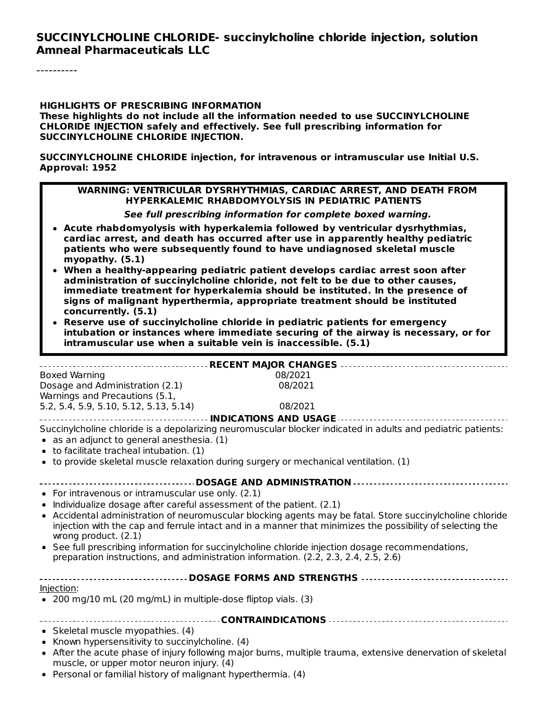#### **SUCCINYLCHOLINE CHLORIDE- succinylcholine chloride injection, solution Amneal Pharmaceuticals LLC**

#### **HIGHLIGHTS OF PRESCRIBING INFORMATION These highlights do not include all the information needed to use SUCCINYLCHOLINE CHLORIDE INJECTION safely and effectively. See full prescribing information for SUCCINYLCHOLINE CHLORIDE INJECTION.**

**SUCCINYLCHOLINE CHLORIDE injection, for intravenous or intramuscular use Initial U.S. Approval: 1952**

#### **WARNING: VENTRICULAR DYSRHYTHMIAS, CARDIAC ARREST, AND DEATH FROM HYPERKALEMIC RHABDOMYOLYSIS IN PEDIATRIC PATIENTS**

**See full prescribing information for complete boxed warning.**

- **Acute rhabdomyolysis with hyperkalemia followed by ventricular dysrhythmias, cardiac arrest, and death has occurred after use in apparently healthy pediatric patients who were subsequently found to have undiagnosed skeletal muscle myopathy. (5.1)**
- **When a healthy-appearing pediatric patient develops cardiac arrest soon after administration of succinylcholine chloride, not felt to be due to other causes, immediate treatment for hyperkalemia should be instituted. In the presence of signs of malignant hyperthermia, appropriate treatment should be instituted concurrently. (5.1)**
- **Reserve use of succinylcholine chloride in pediatric patients for emergency intubation or instances where immediate securing of the airway is necessary, or for intramuscular use when a suitable vein is inaccessible. (5.1)**

| Boxed Warning                                                                                                                                                                                                                                                                                                       | 08/2021                                                                                                      |  |  |  |  |  |  |  |
|---------------------------------------------------------------------------------------------------------------------------------------------------------------------------------------------------------------------------------------------------------------------------------------------------------------------|--------------------------------------------------------------------------------------------------------------|--|--|--|--|--|--|--|
| Dosage and Administration (2.1)                                                                                                                                                                                                                                                                                     | 08/2021                                                                                                      |  |  |  |  |  |  |  |
| Warnings and Precautions (5.1,                                                                                                                                                                                                                                                                                      |                                                                                                              |  |  |  |  |  |  |  |
| 5.2, 5.4, 5.9, 5.10, 5.12, 5.13, 5.14)                                                                                                                                                                                                                                                                              | 08/2021                                                                                                      |  |  |  |  |  |  |  |
|                                                                                                                                                                                                                                                                                                                     |                                                                                                              |  |  |  |  |  |  |  |
| • as an adjunct to general anesthesia. (1)<br>• to facilitate tracheal intubation. (1)                                                                                                                                                                                                                              | Succinylcholine chloride is a depolarizing neuromuscular blocker indicated in adults and pediatric patients: |  |  |  |  |  |  |  |
| • to provide skeletal muscle relaxation during surgery or mechanical ventilation. (1)                                                                                                                                                                                                                               |                                                                                                              |  |  |  |  |  |  |  |
|                                                                                                                                                                                                                                                                                                                     |                                                                                                              |  |  |  |  |  |  |  |
| • For intravenous or intramuscular use only. (2.1)                                                                                                                                                                                                                                                                  |                                                                                                              |  |  |  |  |  |  |  |
| Individualize dosage after careful assessment of the patient. (2.1)<br>Accidental administration of neuromuscular blocking agents may be fatal. Store succinylcholine chloride<br>injection with the cap and ferrule intact and in a manner that minimizes the possibility of selecting the<br>wrong product. (2.1) |                                                                                                              |  |  |  |  |  |  |  |
| preparation instructions, and administration information. (2.2, 2.3, 2.4, 2.5, 2.6)                                                                                                                                                                                                                                 | • See full prescribing information for succinylcholine chloride injection dosage recommendations,            |  |  |  |  |  |  |  |
| ---------------------------- DOSAGE FORMS AND STRENGTHS -----------------------------------                                                                                                                                                                                                                         |                                                                                                              |  |  |  |  |  |  |  |
| Injection:<br>• 200 mg/10 mL (20 mg/mL) in multiple-dose fliptop vials. (3)                                                                                                                                                                                                                                         |                                                                                                              |  |  |  |  |  |  |  |
|                                                                                                                                                                                                                                                                                                                     |                                                                                                              |  |  |  |  |  |  |  |
| • Skeletal muscle myopathies. (4)                                                                                                                                                                                                                                                                                   |                                                                                                              |  |  |  |  |  |  |  |
| • Known hypersensitivity to succinylcholine. (4)                                                                                                                                                                                                                                                                    |                                                                                                              |  |  |  |  |  |  |  |
| muscle, or upper motor neuron injury. (4)                                                                                                                                                                                                                                                                           | • After the acute phase of injury following major burns, multiple trauma, extensive denervation of skeletal  |  |  |  |  |  |  |  |

Personal or familial history of malignant hyperthermia. (4)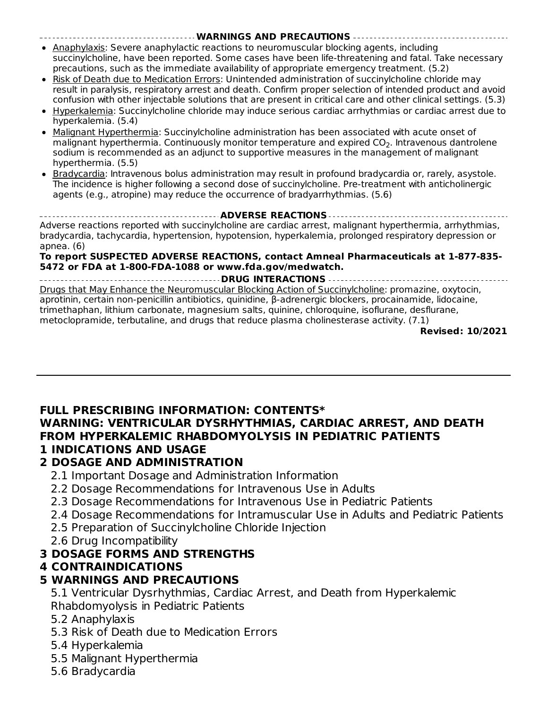- **WARNINGS AND PRECAUTIONS** Anaphylaxis: Severe anaphylactic reactions to neuromuscular blocking agents, including succinylcholine, have been reported. Some cases have been life-threatening and fatal. Take necessary precautions, such as the immediate availability of appropriate emergency treatment. (5.2)
- Risk of Death due to Medication Errors: Unintended administration of succinylcholine chloride may result in paralysis, respiratory arrest and death. Confirm proper selection of intended product and avoid confusion with other injectable solutions that are present in critical care and other clinical settings. (5.3)
- Hyperkalemia: Succinylcholine chloride may induce serious cardiac arrhythmias or cardiac arrest due to hyperkalemia. (5.4)
- Malignant Hyperthermia: Succinylcholine administration has been associated with acute onset of malignant hyperthermia. Continuously monitor temperature and expired  $CO_2$ . Intravenous dantrolene sodium is recommended as an adjunct to supportive measures in the management of malignant hyperthermia. (5.5)
- Bradycardia: Intravenous bolus administration may result in profound bradycardia or, rarely, asystole. The incidence is higher following a second dose of succinylcholine. Pre-treatment with anticholinergic agents (e.g., atropine) may reduce the occurrence of bradyarrhythmias. (5.6)

**ADVERSE REACTIONS** Adverse reactions reported with succinylcholine are cardiac arrest, malignant hyperthermia, arrhythmias, bradycardia, tachycardia, hypertension, hypotension, hyperkalemia, prolonged respiratory depression or apnea. (6)

#### **To report SUSPECTED ADVERSE REACTIONS, contact Amneal Pharmaceuticals at 1-877-835- 5472 or FDA at 1-800-FDA-1088 or www.fda.gov/medwatch.**

**DRUG INTERACTIONS** Drugs that May Enhance the Neuromuscular Blocking Action of Succinylcholine: promazine, oxytocin, aprotinin, certain non-penicillin antibiotics, quinidine, β-adrenergic blockers, procainamide, lidocaine, trimethaphan, lithium carbonate, magnesium salts, quinine, chloroquine, isoflurane, desflurane, metoclopramide, terbutaline, and drugs that reduce plasma cholinesterase activity. (7.1)

**Revised: 10/2021**

#### **FULL PRESCRIBING INFORMATION: CONTENTS\* WARNING: VENTRICULAR DYSRHYTHMIAS, CARDIAC ARREST, AND DEATH FROM HYPERKALEMIC RHABDOMYOLYSIS IN PEDIATRIC PATIENTS 1 INDICATIONS AND USAGE**

### **2 DOSAGE AND ADMINISTRATION**

- 2.1 Important Dosage and Administration Information
- 2.2 Dosage Recommendations for Intravenous Use in Adults
- 2.3 Dosage Recommendations for Intravenous Use in Pediatric Patients
- 2.4 Dosage Recommendations for Intramuscular Use in Adults and Pediatric Patients
- 2.5 Preparation of Succinylcholine Chloride Injection
- 2.6 Drug Incompatibility

### **3 DOSAGE FORMS AND STRENGTHS**

### **4 CONTRAINDICATIONS**

### **5 WARNINGS AND PRECAUTIONS**

5.1 Ventricular Dysrhythmias, Cardiac Arrest, and Death from Hyperkalemic Rhabdomyolysis in Pediatric Patients

- 5.2 Anaphylaxis
- 5.3 Risk of Death due to Medication Errors
- 5.4 Hyperkalemia
- 5.5 Malignant Hyperthermia
- 5.6 Bradycardia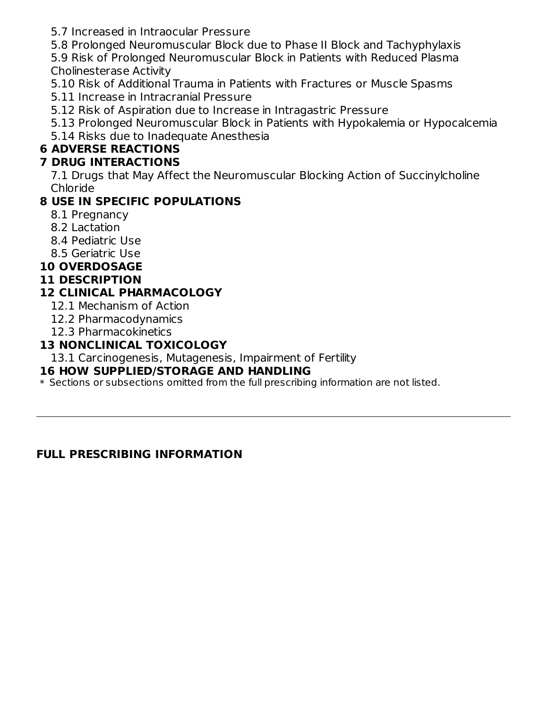5.7 Increased in Intraocular Pressure

5.8 Prolonged Neuromuscular Block due to Phase II Block and Tachyphylaxis

5.9 Risk of Prolonged Neuromuscular Block in Patients with Reduced Plasma Cholinesterase Activity

5.10 Risk of Additional Trauma in Patients with Fractures or Muscle Spasms

5.11 Increase in Intracranial Pressure

5.12 Risk of Aspiration due to Increase in Intragastric Pressure

5.13 Prolonged Neuromuscular Block in Patients with Hypokalemia or Hypocalcemia

5.14 Risks due to Inadequate Anesthesia

## **6 ADVERSE REACTIONS**

#### **7 DRUG INTERACTIONS**

7.1 Drugs that May Affect the Neuromuscular Blocking Action of Succinylcholine Chloride

### **8 USE IN SPECIFIC POPULATIONS**

- 8.1 Pregnancy
- 8.2 Lactation
- 8.4 Pediatric Use
- 8.5 Geriatric Use

#### **10 OVERDOSAGE**

#### **11 DESCRIPTION**

### **12 CLINICAL PHARMACOLOGY**

- 12.1 Mechanism of Action
- 12.2 Pharmacodynamics
- 12.3 Pharmacokinetics

### **13 NONCLINICAL TOXICOLOGY**

13.1 Carcinogenesis, Mutagenesis, Impairment of Fertility

#### **16 HOW SUPPLIED/STORAGE AND HANDLING**

 $\ast$  Sections or subsections omitted from the full prescribing information are not listed.

#### **FULL PRESCRIBING INFORMATION**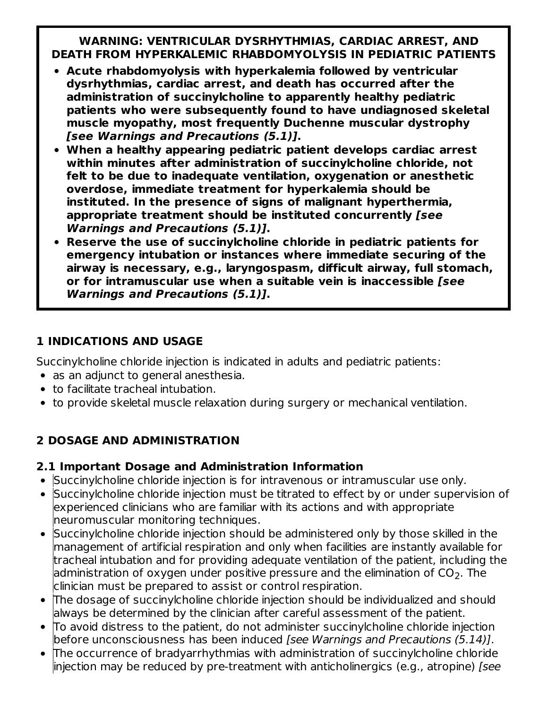#### **WARNING: VENTRICULAR DYSRHYTHMIAS, CARDIAC ARREST, AND DEATH FROM HYPERKALEMIC RHABDOMYOLYSIS IN PEDIATRIC PATIENTS**

- **Acute rhabdomyolysis with hyperkalemia followed by ventricular dysrhythmias, cardiac arrest, and death has occurred after the administration of succinylcholine to apparently healthy pediatric patients who were subsequently found to have undiagnosed skeletal muscle myopathy, most frequently Duchenne muscular dystrophy [see Warnings and Precautions (5.1)].**
- **When a healthy appearing pediatric patient develops cardiac arrest within minutes after administration of succinylcholine chloride, not felt to be due to inadequate ventilation, oxygenation or anesthetic overdose, immediate treatment for hyperkalemia should be instituted. In the presence of signs of malignant hyperthermia, appropriate treatment should be instituted concurrently [see Warnings and Precautions (5.1)].**
- **Reserve the use of succinylcholine chloride in pediatric patients for emergency intubation or instances where immediate securing of the airway is necessary, e.g., laryngospasm, difficult airway, full stomach, or for intramuscular use when a suitable vein is inaccessible [see Warnings and Precautions (5.1)].**

#### **1 INDICATIONS AND USAGE**

Succinylcholine chloride injection is indicated in adults and pediatric patients:

- as an adjunct to general anesthesia.
- to facilitate tracheal intubation.
- to provide skeletal muscle relaxation during surgery or mechanical ventilation.

# **2 DOSAGE AND ADMINISTRATION**

### **2.1 Important Dosage and Administration Information**

- Succinylcholine chloride injection is for intravenous or intramuscular use only.
- Succinylcholine chloride injection must be titrated to effect by or under supervision of experienced clinicians who are familiar with its actions and with appropriate neuromuscular monitoring techniques.
- Succinylcholine chloride injection should be administered only by those skilled in the management of artificial respiration and only when facilities are instantly available for tracheal intubation and for providing adequate ventilation of the patient, including the administration of oxygen under positive pressure and the elimination of CO $_{\rm 2}$ . The clinician must be prepared to assist or control respiration.
- The dosage of succinylcholine chloride injection should be individualized and should always be determined by the clinician after careful assessment of the patient.
- To avoid distress to the patient, do not administer succinylcholine chloride injection before unconsciousness has been induced [see Warnings and Precautions (5.14)].
- The occurrence of bradyarrhythmias with administration of succinylcholine chloride injection may be reduced by pre-treatment with anticholinergics (e.g., atropine) [see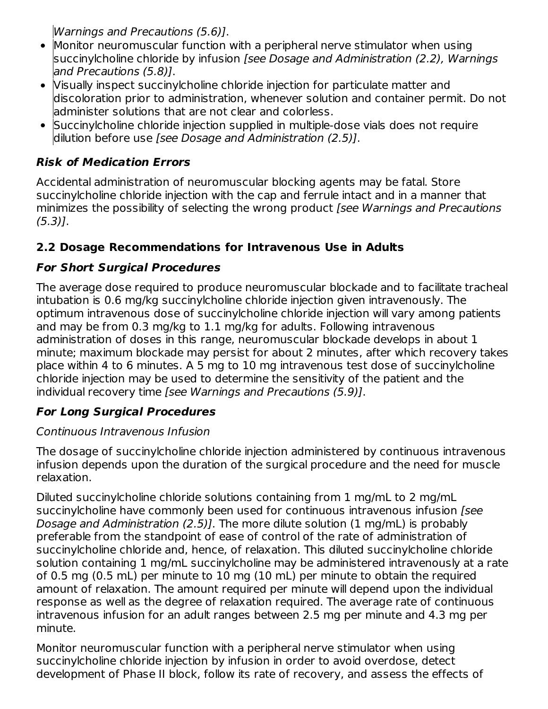Warnings and Precautions (5.6)].

- Monitor neuromuscular function with a peripheral nerve stimulator when using succinylcholine chloride by infusion [see Dosage and Administration (2.2), Warnings and Precautions (5.8)].
- Visually inspect succinylcholine chloride injection for particulate matter and discoloration prior to administration, whenever solution and container permit. Do not administer solutions that are not clear and colorless.
- Succinylcholine chloride injection supplied in multiple-dose vials does not require dilution before use [see Dosage and Administration (2.5)].

## **Risk of Medication Errors**

Accidental administration of neuromuscular blocking agents may be fatal. Store succinylcholine chloride injection with the cap and ferrule intact and in a manner that minimizes the possibility of selecting the wrong product [see Warnings and Precautions  $(5.3)$ ].

## **2.2 Dosage Recommendations for Intravenous Use in Adults**

## **For Short Surgical Procedures**

The average dose required to produce neuromuscular blockade and to facilitate tracheal intubation is 0.6 mg/kg succinylcholine chloride injection given intravenously. The optimum intravenous dose of succinylcholine chloride injection will vary among patients and may be from 0.3 mg/kg to 1.1 mg/kg for adults. Following intravenous administration of doses in this range, neuromuscular blockade develops in about 1 minute; maximum blockade may persist for about 2 minutes, after which recovery takes place within 4 to 6 minutes. A 5 mg to 10 mg intravenous test dose of succinylcholine chloride injection may be used to determine the sensitivity of the patient and the individual recovery time [see Warnings and Precautions (5.9)].

### **For Long Surgical Procedures**

#### Continuous Intravenous Infusion

The dosage of succinylcholine chloride injection administered by continuous intravenous infusion depends upon the duration of the surgical procedure and the need for muscle relaxation.

Diluted succinylcholine chloride solutions containing from 1 mg/mL to 2 mg/mL succinylcholine have commonly been used for continuous intravenous infusion [see Dosage and Administration (2.5)]. The more dilute solution (1 mg/mL) is probably preferable from the standpoint of ease of control of the rate of administration of succinylcholine chloride and, hence, of relaxation. This diluted succinylcholine chloride solution containing 1 mg/mL succinylcholine may be administered intravenously at a rate of 0.5 mg (0.5 mL) per minute to 10 mg (10 mL) per minute to obtain the required amount of relaxation. The amount required per minute will depend upon the individual response as well as the degree of relaxation required. The average rate of continuous intravenous infusion for an adult ranges between 2.5 mg per minute and 4.3 mg per minute.

Monitor neuromuscular function with a peripheral nerve stimulator when using succinylcholine chloride injection by infusion in order to avoid overdose, detect development of Phase II block, follow its rate of recovery, and assess the effects of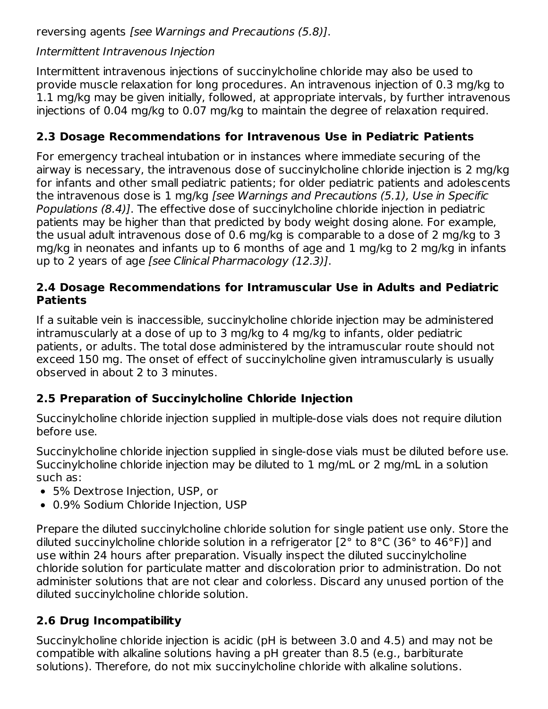reversing agents [see Warnings and Precautions (5.8)].

#### Intermittent Intravenous Injection

Intermittent intravenous injections of succinylcholine chloride may also be used to provide muscle relaxation for long procedures. An intravenous injection of 0.3 mg/kg to 1.1 mg/kg may be given initially, followed, at appropriate intervals, by further intravenous injections of 0.04 mg/kg to 0.07 mg/kg to maintain the degree of relaxation required.

### **2.3 Dosage Recommendations for Intravenous Use in Pediatric Patients**

For emergency tracheal intubation or in instances where immediate securing of the airway is necessary, the intravenous dose of succinylcholine chloride injection is 2 mg/kg for infants and other small pediatric patients; for older pediatric patients and adolescents the intravenous dose is 1 mg/kg [see Warnings and Precautions (5.1), Use in Specific Populations (8.4)]. The effective dose of succinylcholine chloride injection in pediatric patients may be higher than that predicted by body weight dosing alone. For example, the usual adult intravenous dose of 0.6 mg/kg is comparable to a dose of 2 mg/kg to 3 mg/kg in neonates and infants up to 6 months of age and 1 mg/kg to 2 mg/kg in infants up to 2 years of age [see Clinical Pharmacology (12.3)].

#### **2.4 Dosage Recommendations for Intramuscular Use in Adults and Pediatric Patients**

If a suitable vein is inaccessible, succinylcholine chloride injection may be administered intramuscularly at a dose of up to 3 mg/kg to 4 mg/kg to infants, older pediatric patients, or adults. The total dose administered by the intramuscular route should not exceed 150 mg. The onset of effect of succinylcholine given intramuscularly is usually observed in about 2 to 3 minutes.

### **2.5 Preparation of Succinylcholine Chloride Injection**

Succinylcholine chloride injection supplied in multiple-dose vials does not require dilution before use.

Succinylcholine chloride injection supplied in single-dose vials must be diluted before use. Succinylcholine chloride injection may be diluted to 1 mg/mL or 2 mg/mL in a solution such as:

- 5% Dextrose Injection, USP, or
- 0.9% Sodium Chloride Injection, USP

Prepare the diluted succinylcholine chloride solution for single patient use only. Store the diluted succinylcholine chloride solution in a refrigerator [2° to 8°C (36° to 46°F)] and use within 24 hours after preparation. Visually inspect the diluted succinylcholine chloride solution for particulate matter and discoloration prior to administration. Do not administer solutions that are not clear and colorless. Discard any unused portion of the diluted succinylcholine chloride solution.

### **2.6 Drug Incompatibility**

Succinylcholine chloride injection is acidic (pH is between 3.0 and 4.5) and may not be compatible with alkaline solutions having a pH greater than 8.5 (e.g., barbiturate solutions). Therefore, do not mix succinylcholine chloride with alkaline solutions.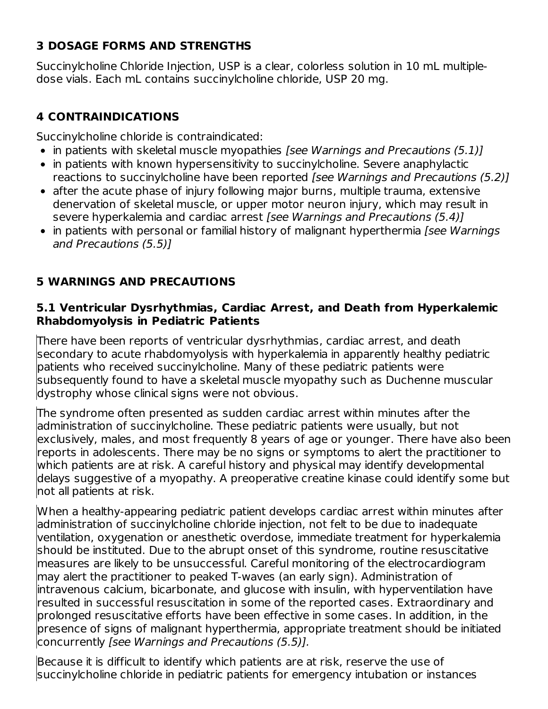### **3 DOSAGE FORMS AND STRENGTHS**

Succinylcholine Chloride Injection, USP is a clear, colorless solution in 10 mL multipledose vials. Each mL contains succinylcholine chloride, USP 20 mg.

# **4 CONTRAINDICATIONS**

Succinylcholine chloride is contraindicated:

- in patients with skeletal muscle myopathies *[see Warnings and Precautions (5.1)]*
- in patients with known hypersensitivity to succinylcholine. Severe anaphylactic reactions to succinylcholine have been reported [see Warnings and Precautions (5.2)]
- after the acute phase of injury following major burns, multiple trauma, extensive denervation of skeletal muscle, or upper motor neuron injury, which may result in severe hyperkalemia and cardiac arrest [see Warnings and Precautions (5.4)]
- in patients with personal or familial history of malignant hyperthermia [see Warnings] and Precautions (5.5)]

# **5 WARNINGS AND PRECAUTIONS**

#### **5.1 Ventricular Dysrhythmias, Cardiac Arrest, and Death from Hyperkalemic Rhabdomyolysis in Pediatric Patients**

There have been reports of ventricular dysrhythmias, cardiac arrest, and death secondary to acute rhabdomyolysis with hyperkalemia in apparently healthy pediatric patients who received succinylcholine. Many of these pediatric patients were subsequently found to have a skeletal muscle myopathy such as Duchenne muscular dystrophy whose clinical signs were not obvious.

The syndrome often presented as sudden cardiac arrest within minutes after the administration of succinylcholine. These pediatric patients were usually, but not exclusively, males, and most frequently 8 years of age or younger. There have also been reports in adolescents. There may be no signs or symptoms to alert the practitioner to which patients are at risk. A careful history and physical may identify developmental delays suggestive of a myopathy. A preoperative creatine kinase could identify some but not all patients at risk.

When a healthy-appearing pediatric patient develops cardiac arrest within minutes after administration of succinylcholine chloride injection, not felt to be due to inadequate ventilation, oxygenation or anesthetic overdose, immediate treatment for hyperkalemia should be instituted. Due to the abrupt onset of this syndrome, routine resuscitative measures are likely to be unsuccessful. Careful monitoring of the electrocardiogram may alert the practitioner to peaked T-waves (an early sign). Administration of intravenous calcium, bicarbonate, and glucose with insulin, with hyperventilation have resulted in successful resuscitation in some of the reported cases. Extraordinary and prolonged resuscitative efforts have been effective in some cases. In addition, in the presence of signs of malignant hyperthermia, appropriate treatment should be initiated concurrently [see Warnings and Precautions (5.5)].

Because it is difficult to identify which patients are at risk, reserve the use of succinylcholine chloride in pediatric patients for emergency intubation or instances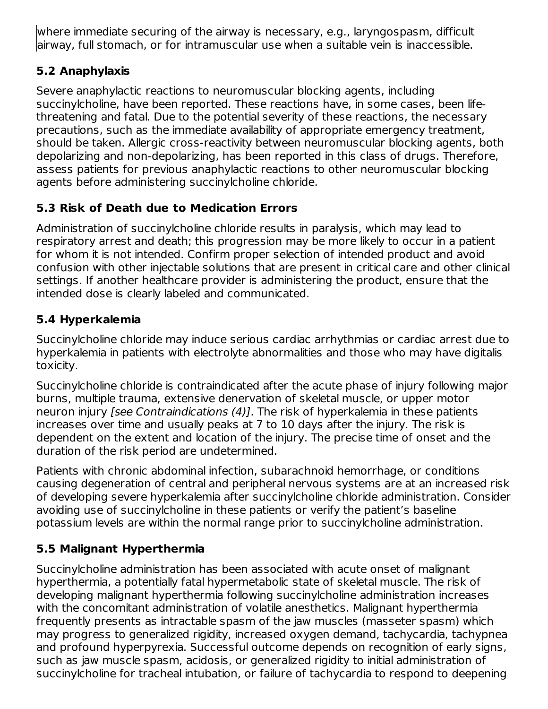where immediate securing of the airway is necessary, e.g., laryngospasm, difficult airway, full stomach, or for intramuscular use when a suitable vein is inaccessible.

### **5.2 Anaphylaxis**

Severe anaphylactic reactions to neuromuscular blocking agents, including succinylcholine, have been reported. These reactions have, in some cases, been lifethreatening and fatal. Due to the potential severity of these reactions, the necessary precautions, such as the immediate availability of appropriate emergency treatment, should be taken. Allergic cross-reactivity between neuromuscular blocking agents, both depolarizing and non-depolarizing, has been reported in this class of drugs. Therefore, assess patients for previous anaphylactic reactions to other neuromuscular blocking agents before administering succinylcholine chloride.

# **5.3 Risk of Death due to Medication Errors**

Administration of succinylcholine chloride results in paralysis, which may lead to respiratory arrest and death; this progression may be more likely to occur in a patient for whom it is not intended. Confirm proper selection of intended product and avoid confusion with other injectable solutions that are present in critical care and other clinical settings. If another healthcare provider is administering the product, ensure that the intended dose is clearly labeled and communicated.

# **5.4 Hyperkalemia**

Succinylcholine chloride may induce serious cardiac arrhythmias or cardiac arrest due to hyperkalemia in patients with electrolyte abnormalities and those who may have digitalis toxicity.

Succinylcholine chloride is contraindicated after the acute phase of injury following major burns, multiple trauma, extensive denervation of skeletal muscle, or upper motor neuron injury [see Contraindications (4)]. The risk of hyperkalemia in these patients increases over time and usually peaks at 7 to 10 days after the injury. The risk is dependent on the extent and location of the injury. The precise time of onset and the duration of the risk period are undetermined.

Patients with chronic abdominal infection, subarachnoid hemorrhage, or conditions causing degeneration of central and peripheral nervous systems are at an increased risk of developing severe hyperkalemia after succinylcholine chloride administration. Consider avoiding use of succinylcholine in these patients or verify the patient's baseline potassium levels are within the normal range prior to succinylcholine administration.

# **5.5 Malignant Hyperthermia**

Succinylcholine administration has been associated with acute onset of malignant hyperthermia, a potentially fatal hypermetabolic state of skeletal muscle. The risk of developing malignant hyperthermia following succinylcholine administration increases with the concomitant administration of volatile anesthetics. Malignant hyperthermia frequently presents as intractable spasm of the jaw muscles (masseter spasm) which may progress to generalized rigidity, increased oxygen demand, tachycardia, tachypnea and profound hyperpyrexia. Successful outcome depends on recognition of early signs, such as jaw muscle spasm, acidosis, or generalized rigidity to initial administration of succinylcholine for tracheal intubation, or failure of tachycardia to respond to deepening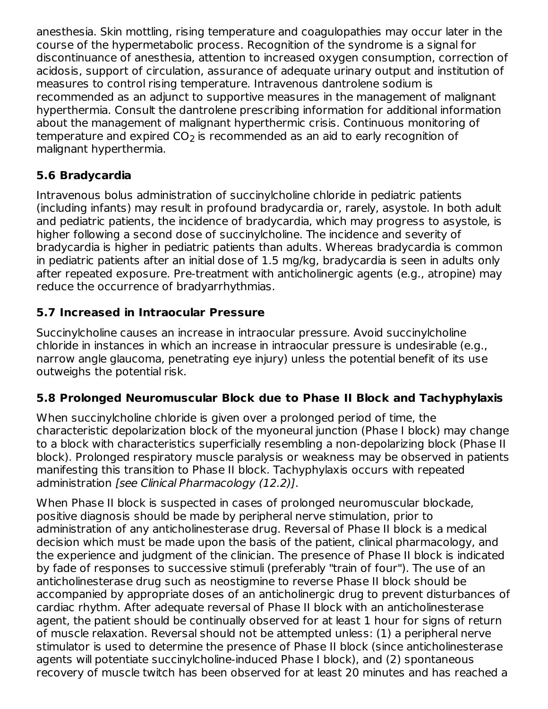anesthesia. Skin mottling, rising temperature and coagulopathies may occur later in the course of the hypermetabolic process. Recognition of the syndrome is a signal for discontinuance of anesthesia, attention to increased oxygen consumption, correction of acidosis, support of circulation, assurance of adequate urinary output and institution of measures to control rising temperature. Intravenous dantrolene sodium is recommended as an adjunct to supportive measures in the management of malignant hyperthermia. Consult the dantrolene prescribing information for additional information about the management of malignant hyperthermic crisis. Continuous monitoring of temperature and expired CO<sub>2</sub> is recommended as an aid to early recognition of malignant hyperthermia.

## **5.6 Bradycardia**

Intravenous bolus administration of succinylcholine chloride in pediatric patients (including infants) may result in profound bradycardia or, rarely, asystole. In both adult and pediatric patients, the incidence of bradycardia, which may progress to asystole, is higher following a second dose of succinylcholine. The incidence and severity of bradycardia is higher in pediatric patients than adults. Whereas bradycardia is common in pediatric patients after an initial dose of 1.5 mg/kg, bradycardia is seen in adults only after repeated exposure. Pre-treatment with anticholinergic agents (e.g., atropine) may reduce the occurrence of bradyarrhythmias.

# **5.7 Increased in Intraocular Pressure**

Succinylcholine causes an increase in intraocular pressure. Avoid succinylcholine chloride in instances in which an increase in intraocular pressure is undesirable (e.g., narrow angle glaucoma, penetrating eye injury) unless the potential benefit of its use outweighs the potential risk.

### **5.8 Prolonged Neuromuscular Block due to Phase II Block and Tachyphylaxis**

When succinylcholine chloride is given over a prolonged period of time, the characteristic depolarization block of the myoneural junction (Phase I block) may change to a block with characteristics superficially resembling a non-depolarizing block (Phase II block). Prolonged respiratory muscle paralysis or weakness may be observed in patients manifesting this transition to Phase II block. Tachyphylaxis occurs with repeated administration [see Clinical Pharmacology (12.2)].

When Phase II block is suspected in cases of prolonged neuromuscular blockade, positive diagnosis should be made by peripheral nerve stimulation, prior to administration of any anticholinesterase drug. Reversal of Phase II block is a medical decision which must be made upon the basis of the patient, clinical pharmacology, and the experience and judgment of the clinician. The presence of Phase II block is indicated by fade of responses to successive stimuli (preferably "train of four"). The use of an anticholinesterase drug such as neostigmine to reverse Phase II block should be accompanied by appropriate doses of an anticholinergic drug to prevent disturbances of cardiac rhythm. After adequate reversal of Phase II block with an anticholinesterase agent, the patient should be continually observed for at least 1 hour for signs of return of muscle relaxation. Reversal should not be attempted unless: (1) a peripheral nerve stimulator is used to determine the presence of Phase II block (since anticholinesterase agents will potentiate succinylcholine-induced Phase I block), and (2) spontaneous recovery of muscle twitch has been observed for at least 20 minutes and has reached a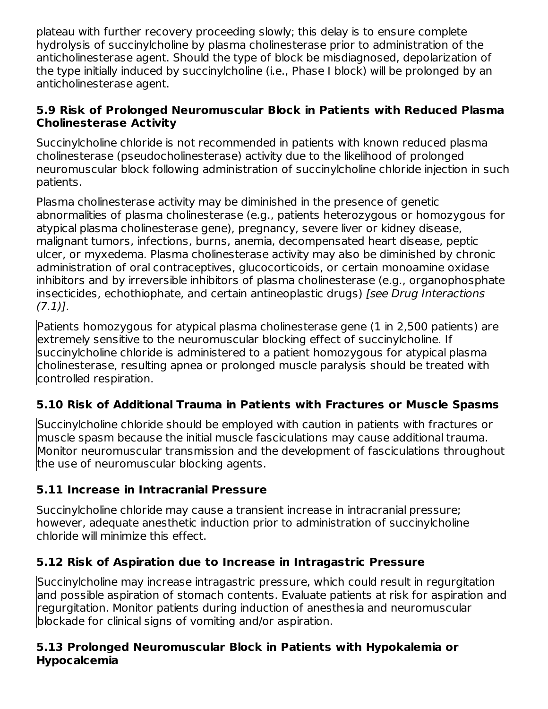plateau with further recovery proceeding slowly; this delay is to ensure complete hydrolysis of succinylcholine by plasma cholinesterase prior to administration of the anticholinesterase agent. Should the type of block be misdiagnosed, depolarization of the type initially induced by succinylcholine (i.e., Phase I block) will be prolonged by an anticholinesterase agent.

#### **5.9 Risk of Prolonged Neuromuscular Block in Patients with Reduced Plasma Cholinesterase Activity**

Succinylcholine chloride is not recommended in patients with known reduced plasma cholinesterase (pseudocholinesterase) activity due to the likelihood of prolonged neuromuscular block following administration of succinylcholine chloride injection in such patients.

Plasma cholinesterase activity may be diminished in the presence of genetic abnormalities of plasma cholinesterase (e.g., patients heterozygous or homozygous for atypical plasma cholinesterase gene), pregnancy, severe liver or kidney disease, malignant tumors, infections, burns, anemia, decompensated heart disease, peptic ulcer, or myxedema. Plasma cholinesterase activity may also be diminished by chronic administration of oral contraceptives, glucocorticoids, or certain monoamine oxidase inhibitors and by irreversible inhibitors of plasma cholinesterase (e.g., organophosphate insecticides, echothiophate, and certain antineoplastic drugs) [see Drug Interactions (7.1)].

Patients homozygous for atypical plasma cholinesterase gene (1 in 2,500 patients) are extremely sensitive to the neuromuscular blocking effect of succinylcholine. If succinylcholine chloride is administered to a patient homozygous for atypical plasma cholinesterase, resulting apnea or prolonged muscle paralysis should be treated with controlled respiration.

### **5.10 Risk of Additional Trauma in Patients with Fractures or Muscle Spasms**

Succinylcholine chloride should be employed with caution in patients with fractures or muscle spasm because the initial muscle fasciculations may cause additional trauma. Monitor neuromuscular transmission and the development of fasciculations throughout the use of neuromuscular blocking agents.

### **5.11 Increase in Intracranial Pressure**

Succinylcholine chloride may cause a transient increase in intracranial pressure; however, adequate anesthetic induction prior to administration of succinylcholine chloride will minimize this effect.

### **5.12 Risk of Aspiration due to Increase in Intragastric Pressure**

Succinylcholine may increase intragastric pressure, which could result in regurgitation and possible aspiration of stomach contents. Evaluate patients at risk for aspiration and regurgitation. Monitor patients during induction of anesthesia and neuromuscular blockade for clinical signs of vomiting and/or aspiration.

#### **5.13 Prolonged Neuromuscular Block in Patients with Hypokalemia or Hypocalcemia**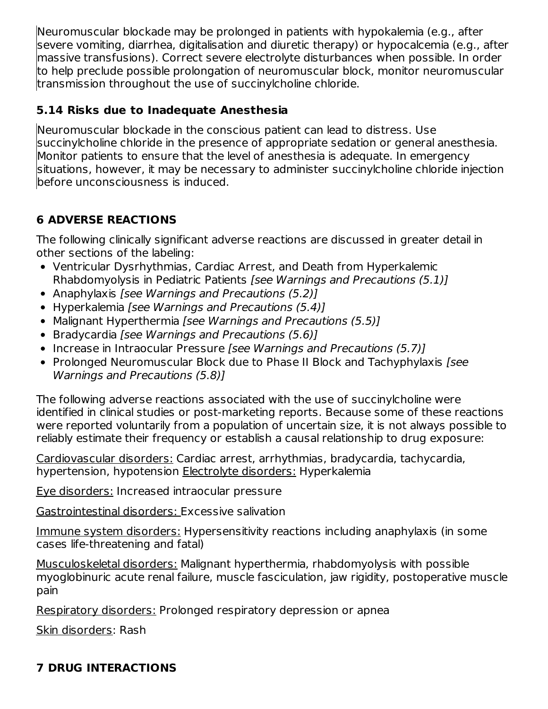Neuromuscular blockade may be prolonged in patients with hypokalemia (e.g., after severe vomiting, diarrhea, digitalisation and diuretic therapy) or hypocalcemia (e.g., after massive transfusions). Correct severe electrolyte disturbances when possible. In order to help preclude possible prolongation of neuromuscular block, monitor neuromuscular transmission throughout the use of succinylcholine chloride.

### **5.14 Risks due to Inadequate Anesthesia**

Neuromuscular blockade in the conscious patient can lead to distress. Use succinylcholine chloride in the presence of appropriate sedation or general anesthesia. Monitor patients to ensure that the level of anesthesia is adequate. In emergency situations, however, it may be necessary to administer succinylcholine chloride injection before unconsciousness is induced.

# **6 ADVERSE REACTIONS**

The following clinically significant adverse reactions are discussed in greater detail in other sections of the labeling:

- Ventricular Dysrhythmias, Cardiac Arrest, and Death from Hyperkalemic Rhabdomyolysis in Pediatric Patients [see Warnings and Precautions (5.1)]
- Anaphylaxis [see Warnings and Precautions (5.2)]
- Hyperkalemia [see Warnings and Precautions (5.4)]
- Malignant Hyperthermia [see Warnings and Precautions (5.5)]
- Bradycardia [see Warnings and Precautions (5.6)]
- Increase in Intraocular Pressure [see Warnings and Precautions (5.7)]
- Prolonged Neuromuscular Block due to Phase II Block and Tachyphylaxis [see Warnings and Precautions (5.8)]

The following adverse reactions associated with the use of succinylcholine were identified in clinical studies or post-marketing reports. Because some of these reactions were reported voluntarily from a population of uncertain size, it is not always possible to reliably estimate their frequency or establish a causal relationship to drug exposure:

Cardiovascular disorders: Cardiac arrest, arrhythmias, bradycardia, tachycardia, hypertension, hypotension Electrolyte disorders: Hyperkalemia

Eye disorders: Increased intraocular pressure

Gastrointestinal disorders: Excessive salivation

Immune system disorders: Hypersensitivity reactions including anaphylaxis (in some cases life-threatening and fatal)

Musculoskeletal disorders: Malignant hyperthermia, rhabdomyolysis with possible myoglobinuric acute renal failure, muscle fasciculation, jaw rigidity, postoperative muscle pain

Respiratory disorders: Prolonged respiratory depression or apnea

Skin disorders: Rash

# **7 DRUG INTERACTIONS**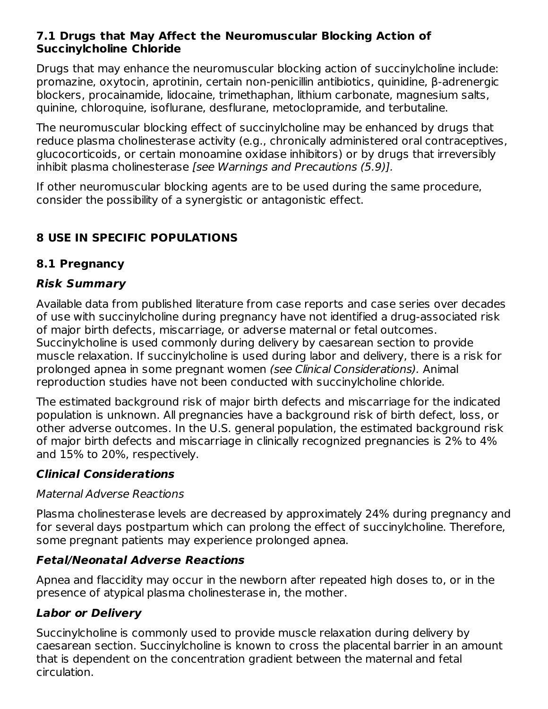#### **7.1 Drugs that May Affect the Neuromuscular Blocking Action of Succinylcholine Chloride**

Drugs that may enhance the neuromuscular blocking action of succinylcholine include: promazine, oxytocin, aprotinin, certain non-penicillin antibiotics, quinidine, β-adrenergic blockers, procainamide, lidocaine, trimethaphan, lithium carbonate, magnesium salts, quinine, chloroquine, isoflurane, desflurane, metoclopramide, and terbutaline.

The neuromuscular blocking effect of succinylcholine may be enhanced by drugs that reduce plasma cholinesterase activity (e.g., chronically administered oral contraceptives, glucocorticoids, or certain monoamine oxidase inhibitors) or by drugs that irreversibly inhibit plasma cholinesterase [see Warnings and Precautions (5.9)].

If other neuromuscular blocking agents are to be used during the same procedure, consider the possibility of a synergistic or antagonistic effect.

# **8 USE IN SPECIFIC POPULATIONS**

### **8.1 Pregnancy**

### **Risk Summary**

Available data from published literature from case reports and case series over decades of use with succinylcholine during pregnancy have not identified a drug-associated risk of major birth defects, miscarriage, or adverse maternal or fetal outcomes. Succinylcholine is used commonly during delivery by caesarean section to provide muscle relaxation. If succinylcholine is used during labor and delivery, there is a risk for prolonged apnea in some pregnant women (see Clinical Considerations). Animal reproduction studies have not been conducted with succinylcholine chloride.

The estimated background risk of major birth defects and miscarriage for the indicated population is unknown. All pregnancies have a background risk of birth defect, loss, or other adverse outcomes. In the U.S. general population, the estimated background risk of major birth defects and miscarriage in clinically recognized pregnancies is 2% to 4% and 15% to 20%, respectively.

#### **Clinical Considerations**

#### Maternal Adverse Reactions

Plasma cholinesterase levels are decreased by approximately 24% during pregnancy and for several days postpartum which can prolong the effect of succinylcholine. Therefore, some pregnant patients may experience prolonged apnea.

#### **Fetal/Neonatal Adverse Reactions**

Apnea and flaccidity may occur in the newborn after repeated high doses to, or in the presence of atypical plasma cholinesterase in, the mother.

#### **Labor or Delivery**

Succinylcholine is commonly used to provide muscle relaxation during delivery by caesarean section. Succinylcholine is known to cross the placental barrier in an amount that is dependent on the concentration gradient between the maternal and fetal circulation.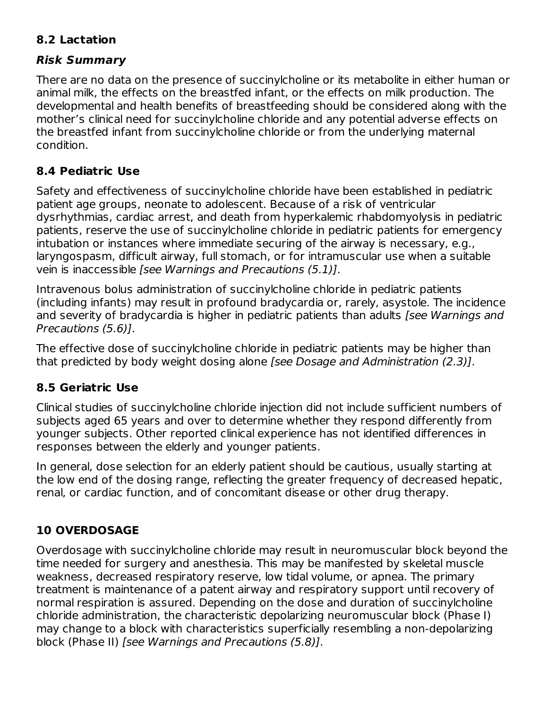#### **8.2 Lactation**

#### **Risk Summary**

There are no data on the presence of succinylcholine or its metabolite in either human or animal milk, the effects on the breastfed infant, or the effects on milk production. The developmental and health benefits of breastfeeding should be considered along with the mother's clinical need for succinylcholine chloride and any potential adverse effects on the breastfed infant from succinylcholine chloride or from the underlying maternal condition.

#### **8.4 Pediatric Use**

Safety and effectiveness of succinylcholine chloride have been established in pediatric patient age groups, neonate to adolescent. Because of a risk of ventricular dysrhythmias, cardiac arrest, and death from hyperkalemic rhabdomyolysis in pediatric patients, reserve the use of succinylcholine chloride in pediatric patients for emergency intubation or instances where immediate securing of the airway is necessary, e.g., laryngospasm, difficult airway, full stomach, or for intramuscular use when a suitable vein is inaccessible [see Warnings and Precautions (5.1)].

Intravenous bolus administration of succinylcholine chloride in pediatric patients (including infants) may result in profound bradycardia or, rarely, asystole. The incidence and severity of bradycardia is higher in pediatric patients than adults *[see Warnings and* Precautions (5.6)].

The effective dose of succinylcholine chloride in pediatric patients may be higher than that predicted by body weight dosing alone [see Dosage and Administration (2.3)].

#### **8.5 Geriatric Use**

Clinical studies of succinylcholine chloride injection did not include sufficient numbers of subjects aged 65 years and over to determine whether they respond differently from younger subjects. Other reported clinical experience has not identified differences in responses between the elderly and younger patients.

In general, dose selection for an elderly patient should be cautious, usually starting at the low end of the dosing range, reflecting the greater frequency of decreased hepatic, renal, or cardiac function, and of concomitant disease or other drug therapy.

### **10 OVERDOSAGE**

Overdosage with succinylcholine chloride may result in neuromuscular block beyond the time needed for surgery and anesthesia. This may be manifested by skeletal muscle weakness, decreased respiratory reserve, low tidal volume, or apnea. The primary treatment is maintenance of a patent airway and respiratory support until recovery of normal respiration is assured. Depending on the dose and duration of succinylcholine chloride administration, the characteristic depolarizing neuromuscular block (Phase I) may change to a block with characteristics superficially resembling a non-depolarizing block (Phase II) [see Warnings and Precautions (5.8)].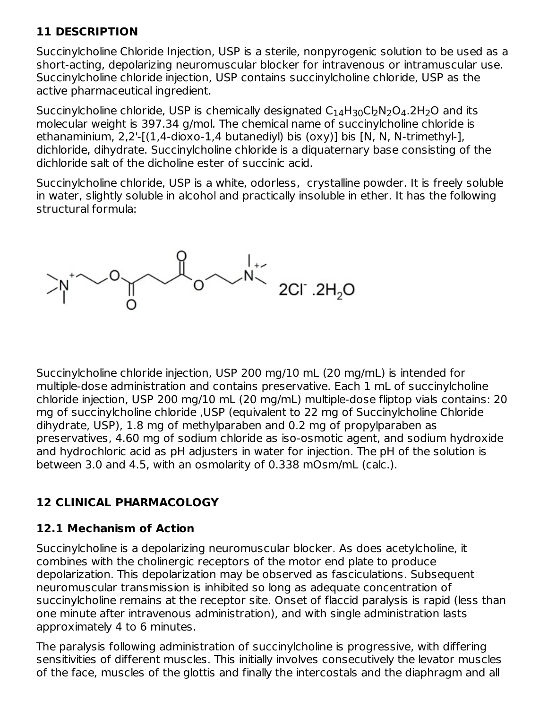### **11 DESCRIPTION**

Succinylcholine Chloride Injection, USP is a sterile, nonpyrogenic solution to be used as a short-acting, depolarizing neuromuscular blocker for intravenous or intramuscular use. Succinylcholine chloride injection, USP contains succinylcholine chloride, USP as the active pharmaceutical ingredient.

Succinylcholine chloride, USP is chemically designated  $\rm{C_{14}H_{30}Cl_2N_2O_4.2H_2O}$  and its molecular weight is 397.34 g/mol. The chemical name of succinylcholine chloride is ethanaminium, 2,2'-[(1,4-dioxo-1,4 butanediyl) bis (oxy)] bis [N, N, N-trimethyl-], dichloride, dihydrate. Succinylcholine chloride is a diquaternary base consisting of the dichloride salt of the dicholine ester of succinic acid.

Succinylcholine chloride, USP is a white, odorless, crystalline powder. It is freely soluble in water, slightly soluble in alcohol and practically insoluble in ether. It has the following structural formula:



Succinylcholine chloride injection, USP 200 mg/10 mL (20 mg/mL) is intended for multiple-dose administration and contains preservative. Each 1 mL of succinylcholine chloride injection, USP 200 mg/10 mL (20 mg/mL) multiple-dose fliptop vials contains: 20 mg of succinylcholine chloride ,USP (equivalent to 22 mg of Succinylcholine Chloride dihydrate, USP), 1.8 mg of methylparaben and 0.2 mg of propylparaben as preservatives, 4.60 mg of sodium chloride as iso-osmotic agent, and sodium hydroxide and hydrochloric acid as pH adjusters in water for injection. The pH of the solution is between 3.0 and 4.5, with an osmolarity of 0.338 mOsm/mL (calc.).

### **12 CLINICAL PHARMACOLOGY**

#### **12.1 Mechanism of Action**

Succinylcholine is a depolarizing neuromuscular blocker. As does acetylcholine, it combines with the cholinergic receptors of the motor end plate to produce depolarization. This depolarization may be observed as fasciculations. Subsequent neuromuscular transmission is inhibited so long as adequate concentration of succinylcholine remains at the receptor site. Onset of flaccid paralysis is rapid (less than one minute after intravenous administration), and with single administration lasts approximately 4 to 6 minutes.

The paralysis following administration of succinylcholine is progressive, with differing sensitivities of different muscles. This initially involves consecutively the levator muscles of the face, muscles of the glottis and finally the intercostals and the diaphragm and all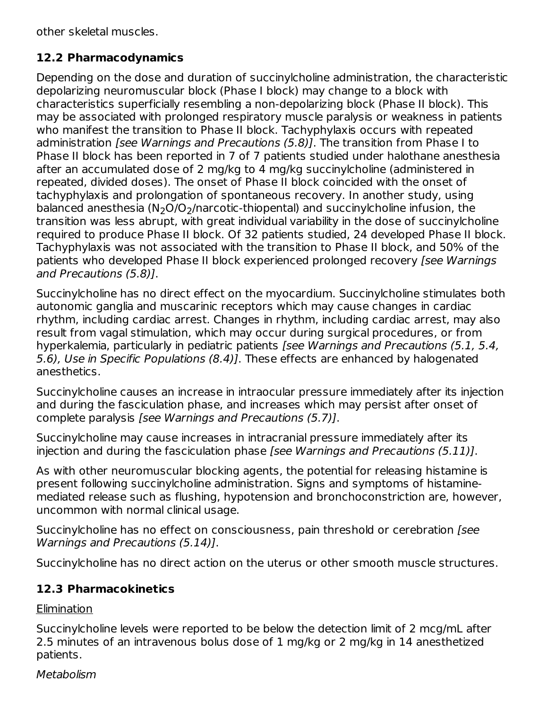other skeletal muscles.

### **12.2 Pharmacodynamics**

Depending on the dose and duration of succinylcholine administration, the characteristic depolarizing neuromuscular block (Phase I block) may change to a block with characteristics superficially resembling a non-depolarizing block (Phase II block). This may be associated with prolonged respiratory muscle paralysis or weakness in patients who manifest the transition to Phase II block. Tachyphylaxis occurs with repeated administration [see Warnings and Precautions (5.8)]. The transition from Phase I to Phase II block has been reported in 7 of 7 patients studied under halothane anesthesia after an accumulated dose of 2 mg/kg to 4 mg/kg succinylcholine (administered in repeated, divided doses). The onset of Phase II block coincided with the onset of tachyphylaxis and prolongation of spontaneous recovery. In another study, using balanced anesthesia (N<sub>2</sub>O/O<sub>2</sub>/narcotic-thiopental) and succinylcholine infusion, the transition was less abrupt, with great individual variability in the dose of succinylcholine required to produce Phase II block. Of 32 patients studied, 24 developed Phase II block. Tachyphylaxis was not associated with the transition to Phase II block, and 50% of the patients who developed Phase II block experienced prolonged recovery [see Warnings and Precautions (5.8)].

Succinylcholine has no direct effect on the myocardium. Succinylcholine stimulates both autonomic ganglia and muscarinic receptors which may cause changes in cardiac rhythm, including cardiac arrest. Changes in rhythm, including cardiac arrest, may also result from vagal stimulation, which may occur during surgical procedures, or from hyperkalemia, particularly in pediatric patients [see Warnings and Precautions (5.1, 5.4, 5.6), Use in Specific Populations (8.4)]. These effects are enhanced by halogenated anesthetics.

Succinylcholine causes an increase in intraocular pressure immediately after its injection and during the fasciculation phase, and increases which may persist after onset of complete paralysis [see Warnings and Precautions (5.7)].

Succinylcholine may cause increases in intracranial pressure immediately after its injection and during the fasciculation phase [see Warnings and Precautions (5.11)].

As with other neuromuscular blocking agents, the potential for releasing histamine is present following succinylcholine administration. Signs and symptoms of histaminemediated release such as flushing, hypotension and bronchoconstriction are, however, uncommon with normal clinical usage.

Succinylcholine has no effect on consciousness, pain threshold or cerebration [see Warnings and Precautions (5.14)].

Succinylcholine has no direct action on the uterus or other smooth muscle structures.

#### **12.3 Pharmacokinetics**

Elimination

Succinylcholine levels were reported to be below the detection limit of 2 mcg/mL after 2.5 minutes of an intravenous bolus dose of 1 mg/kg or 2 mg/kg in 14 anesthetized patients.

**Metabolism**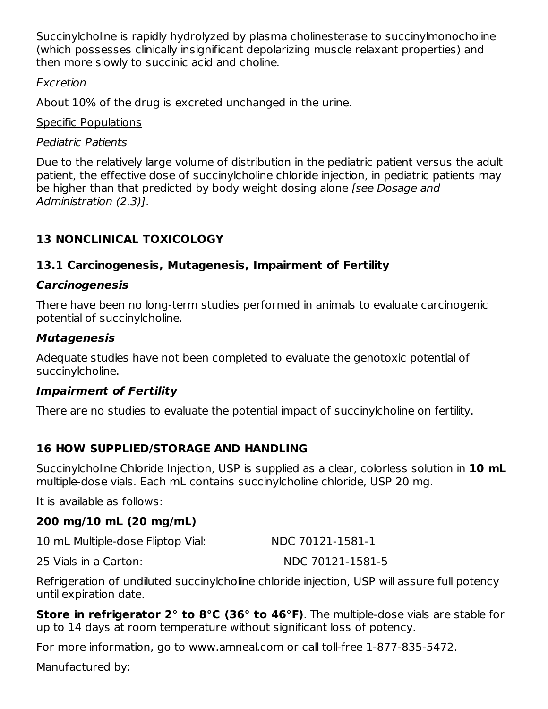Succinylcholine is rapidly hydrolyzed by plasma cholinesterase to succinylmonocholine (which possesses clinically insignificant depolarizing muscle relaxant properties) and then more slowly to succinic acid and choline.

Excretion

About 10% of the drug is excreted unchanged in the urine.

### Specific Populations

### Pediatric Patients

Due to the relatively large volume of distribution in the pediatric patient versus the adult patient, the effective dose of succinylcholine chloride injection, in pediatric patients may be higher than that predicted by body weight dosing alone [see Dosage and Administration (2.3)].

# **13 NONCLINICAL TOXICOLOGY**

## **13.1 Carcinogenesis, Mutagenesis, Impairment of Fertility**

### **Carcinogenesis**

There have been no long-term studies performed in animals to evaluate carcinogenic potential of succinylcholine.

### **Mutagenesis**

Adequate studies have not been completed to evaluate the genotoxic potential of succinylcholine.

### **Impairment of Fertility**

There are no studies to evaluate the potential impact of succinylcholine on fertility.

# **16 HOW SUPPLIED/STORAGE AND HANDLING**

Succinylcholine Chloride Injection, USP is supplied as a clear, colorless solution in **10 mL** multiple-dose vials. Each mL contains succinylcholine chloride, USP 20 mg.

It is available as follows:

### **200 mg/10 mL (20 mg/mL)**

10 mL Multiple-dose Fliptop Vial: NDC 70121-1581-1

25 Vials in a Carton: NDC 70121-1581-5

Refrigeration of undiluted succinylcholine chloride injection, USP will assure full potency until expiration date.

**Store in refrigerator 2° to 8°C (36° to 46°F)**. The multiple-dose vials are stable for up to 14 days at room temperature without significant loss of potency.

For more information, go to www.amneal.com or call toll-free 1-877-835-5472.

Manufactured by: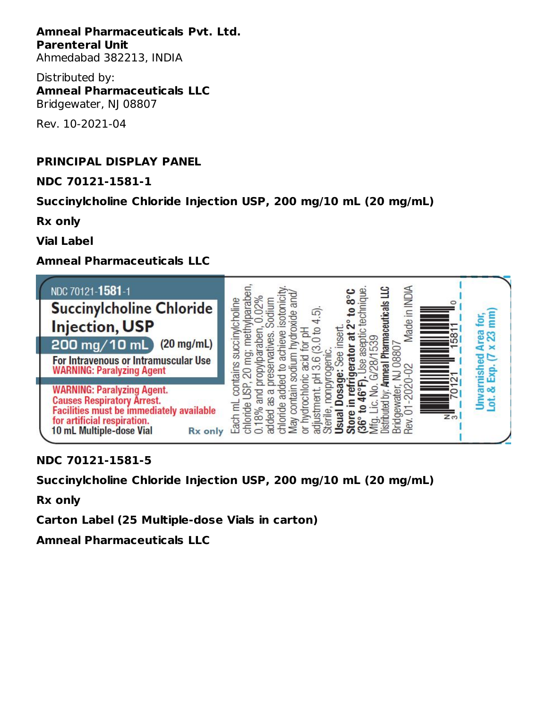**Amneal Pharmaceuticals Pvt. Ltd. Parenteral Unit** Ahmedabad 382213, INDIA

Distributed by: **Amneal Pharmaceuticals LLC** Bridgewater, NJ 08807

Rev. 10-2021-04

#### **PRINCIPAL DISPLAY PANEL**

#### **NDC 70121-1581-1**

#### **Succinylcholine Chloride Injection USP, 200 mg/10 mL (20 mg/mL)**

**Rx only**

**Vial Label**

#### **Amneal Pharmaceuticals LLC**



#### **NDC 70121-1581-5**

**Succinylcholine Chloride Injection USP, 200 mg/10 mL (20 mg/mL)**

**Rx only**

**Carton Label (25 Multiple-dose Vials in carton)**

**Amneal Pharmaceuticals LLC**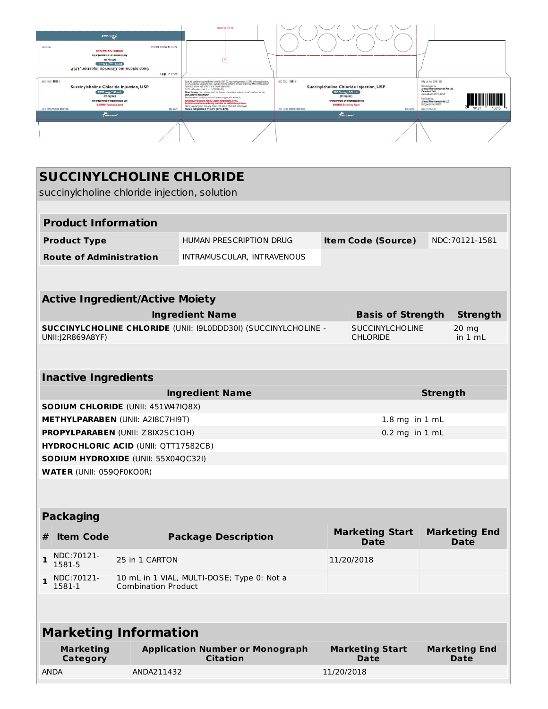

# **SUCCINYLCHOLINE CHLORIDE**

succinylcholine chloride injection, solution

| <b>Product Information</b>                                                                 |                                |                           |                                     |                    |                    |                 |  |  |  |
|--------------------------------------------------------------------------------------------|--------------------------------|---------------------------|-------------------------------------|--------------------|--------------------|-----------------|--|--|--|
| <b>Product Type</b>                                                                        | <b>HUMAN PRESCRIPTION DRUG</b> | <b>Item Code (Source)</b> |                                     |                    |                    | NDC: 70121-1581 |  |  |  |
| <b>Route of Administration</b>                                                             | INTRAMUSCULAR, INTRAVENOUS     |                           |                                     |                    |                    |                 |  |  |  |
|                                                                                            |                                |                           |                                     |                    |                    |                 |  |  |  |
| <b>Active Ingredient/Active Moiety</b>                                                     |                                |                           |                                     |                    |                    |                 |  |  |  |
|                                                                                            |                                |                           |                                     |                    |                    |                 |  |  |  |
| <b>Ingredient Name</b>                                                                     |                                |                           | <b>Basis of Strength</b>            |                    |                    | <b>Strength</b> |  |  |  |
| <b>SUCCINYLCHOLINE CHLORIDE (UNII: I9LODDD30I) (SUCCINYLCHOLINE -</b><br>UNII: (2R869A8YF) |                                |                           | <b>SUCCINYLCHOLINE</b><br>CHI ORIDE |                    | $20$ mg<br>in 1 ml |                 |  |  |  |
|                                                                                            |                                |                           |                                     |                    |                    |                 |  |  |  |
| <b>Inactive Ingredients</b>                                                                |                                |                           |                                     |                    |                    |                 |  |  |  |
| <b>Ingredient Name</b>                                                                     |                                |                           |                                     | <b>Strength</b>    |                    |                 |  |  |  |
| <b>SODIUM CHLORIDE (UNII: 451W47IQ8X)</b>                                                  |                                |                           |                                     |                    |                    |                 |  |  |  |
| <b>METHYLPARABEN (UNII: A2I8C7HI9T)</b>                                                    |                                |                           |                                     | $1.8$ mg in $1$ mL |                    |                 |  |  |  |
| <b>PROPYLPARABEN (UNII: Z8IX2SC10H)</b>                                                    |                                |                           | $0.2$ mg in $1$ mL                  |                    |                    |                 |  |  |  |
| <b>HYDROCHLORIC ACID (UNII: OTT17582CB)</b>                                                |                                |                           |                                     |                    |                    |                 |  |  |  |
| <b>SODIUM HYDROXIDE (UNII: 55X04QC32I)</b>                                                 |                                |                           |                                     |                    |                    |                 |  |  |  |
| <b>WATER (UNII: 059QF0KO0R)</b>                                                            |                                |                           |                                     |                    |                    |                 |  |  |  |
|                                                                                            |                                |                           |                                     |                    |                    |                 |  |  |  |

| <b>Packaging</b>             |                              |                                                                          |                                |                                     |  |  |  |
|------------------------------|------------------------------|--------------------------------------------------------------------------|--------------------------------|-------------------------------------|--|--|--|
| #                            | <b>Item Code</b>             | <b>Package Description</b>                                               | <b>Marketing Start</b><br>Date | <b>Marketing End</b><br><b>Date</b> |  |  |  |
|                              | NDC:70121-<br>1581-5         | 25 in 1 CARTON                                                           | 11/20/2018                     |                                     |  |  |  |
|                              | NDC: 70121-<br>1581-1        | 10 mL in 1 VIAL, MULTI-DOSE; Type 0: Not a<br><b>Combination Product</b> |                                |                                     |  |  |  |
|                              |                              |                                                                          |                                |                                     |  |  |  |
| <b>Marketing Information</b> |                              |                                                                          |                                |                                     |  |  |  |
|                              | <b>Marketing</b><br>Category | <b>Application Number or Monograph</b><br><b>Citation</b>                | <b>Marketing Start</b><br>Date | <b>Marketing End</b><br>Date        |  |  |  |

ANDA ANDA211432 11/20/2018